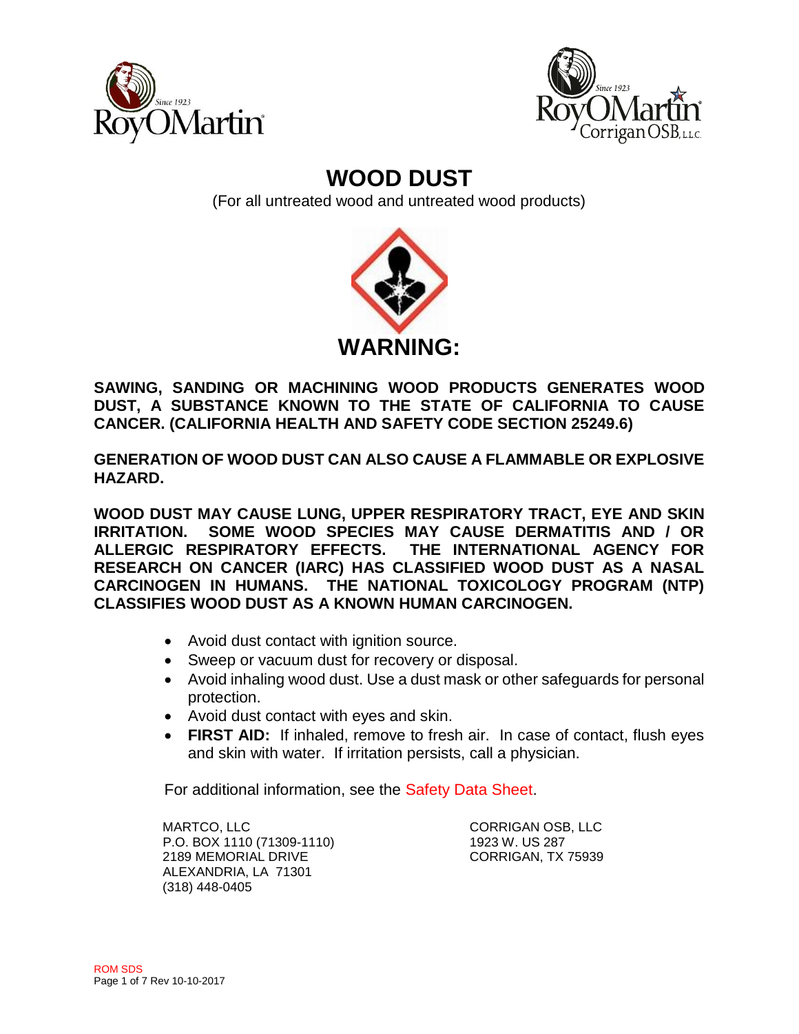



# **WOOD DUST**

(For all untreated wood and untreated wood products)



**SAWING, SANDING OR MACHINING WOOD PRODUCTS GENERATES WOOD DUST, A SUBSTANCE KNOWN TO THE STATE OF CALIFORNIA TO CAUSE CANCER. (CALIFORNIA HEALTH AND SAFETY CODE SECTION 25249.6)**

**GENERATION OF WOOD DUST CAN ALSO CAUSE A FLAMMABLE OR EXPLOSIVE HAZARD.**

**WOOD DUST MAY CAUSE LUNG, UPPER RESPIRATORY TRACT, EYE AND SKIN IRRITATION. SOME WOOD SPECIES MAY CAUSE DERMATITIS AND / OR ALLERGIC RESPIRATORY EFFECTS. THE INTERNATIONAL AGENCY FOR RESEARCH ON CANCER (IARC) HAS CLASSIFIED WOOD DUST AS A NASAL CARCINOGEN IN HUMANS. THE NATIONAL TOXICOLOGY PROGRAM (NTP) CLASSIFIES WOOD DUST AS A KNOWN HUMAN CARCINOGEN.**

- Avoid dust contact with ignition source.
- Sweep or vacuum dust for recovery or disposal.
- Avoid inhaling wood dust. Use a dust mask or other safeguards for personal protection.
- Avoid dust contact with eyes and skin.
- **FIRST AID:** If inhaled, remove to fresh air. In case of contact, flush eyes and skin with water. If irritation persists, call a physician.

For additional information, see the Safety Data Sheet.

MARTCO, LLC CORRIGAN OSB, LLC P.O. BOX 1110 (71309-1110) 1923 W. US 287 2189 MEMORIAL DRIVE CORRIGAN, TX 75939 ALEXANDRIA, LA 71301 (318) 448-0405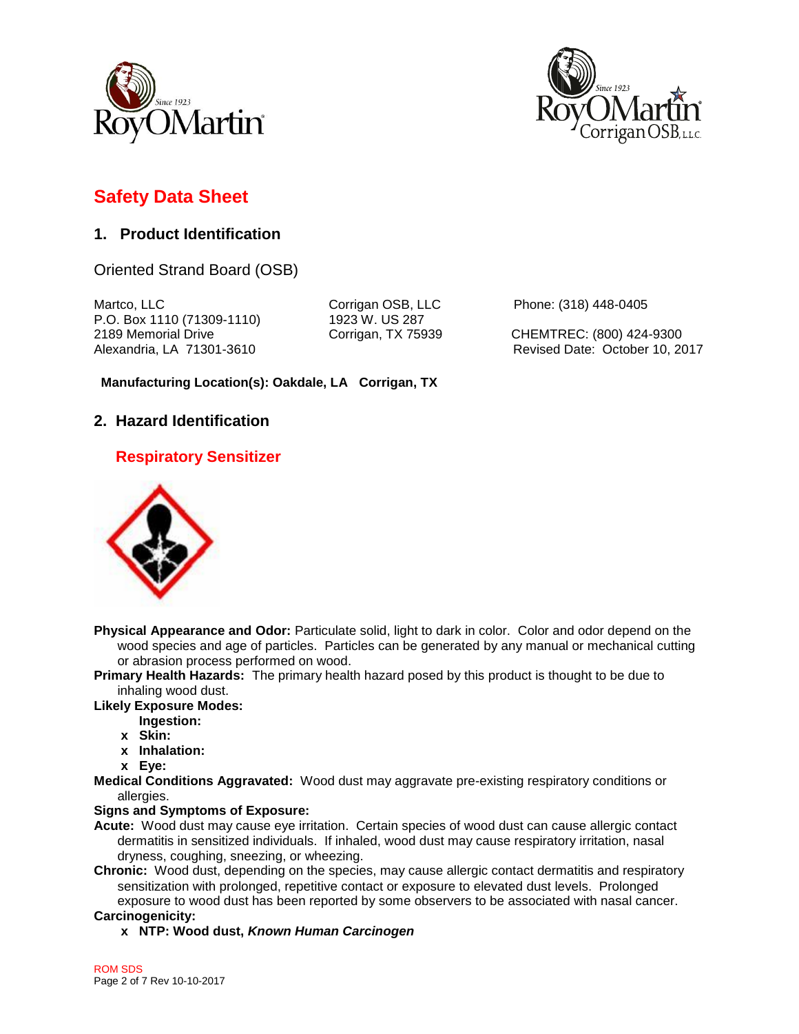



## **Safety Data Sheet**

### **1. Product Identification**

Oriented Strand Board (OSB)

Martco, LLC Corrigan OSB, LLC Phone: (318) 448-0405 P.O. Box 1110 (71309-1110) 1923 W. US 287 2189 Memorial Drive Corrigan, TX 75939 CHEMTREC: (800) 424-9300

Alexandria, LA 71301-3610 **Revised Date: October 10, 2017** Revised Date: October 10, 2017

#### **Manufacturing Location(s): Oakdale, LA Corrigan, TX**

### **2. Hazard Identification**

### **Respiratory Sensitizer**



**Physical Appearance and Odor:** Particulate solid, light to dark in color. Color and odor depend on the wood species and age of particles. Particles can be generated by any manual or mechanical cutting or abrasion process performed on wood.

**Primary Health Hazards:** The primary health hazard posed by this product is thought to be due to inhaling wood dust.

#### **Likely Exposure Modes:**

- **Ingestion:**
- **x Skin:**
- **x Inhalation:**
- **x Eye:**
- **Medical Conditions Aggravated:** Wood dust may aggravate pre-existing respiratory conditions or allergies.

#### **Signs and Symptoms of Exposure:**

- **Acute:** Wood dust may cause eye irritation. Certain species of wood dust can cause allergic contact dermatitis in sensitized individuals. If inhaled, wood dust may cause respiratory irritation, nasal dryness, coughing, sneezing, or wheezing.
- **Chronic:** Wood dust, depending on the species, may cause allergic contact dermatitis and respiratory sensitization with prolonged, repetitive contact or exposure to elevated dust levels. Prolonged exposure to wood dust has been reported by some observers to be associated with nasal cancer. **Carcinogenicity:**

#### **x NTP: Wood dust,** *Known Human Carcinogen*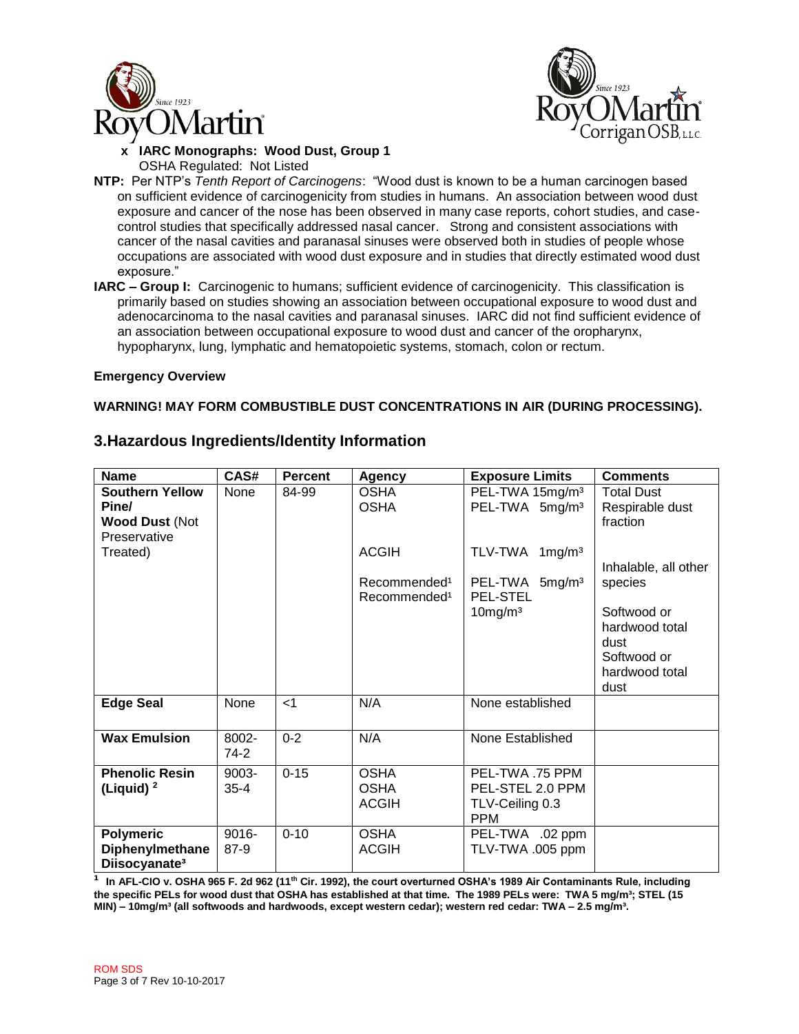



#### $\overline{a}$ **x IARC Monographs: Wood Dust, Group 1** OSHA Regulated: Not Listed

- **NTP:** Per NTP's *Tenth Report of Carcinogens*: "Wood dust is known to be a human carcinogen based on sufficient evidence of carcinogenicity from studies in humans. An association between wood dust exposure and cancer of the nose has been observed in many case reports, cohort studies, and casecontrol studies that specifically addressed nasal cancer. Strong and consistent associations with cancer of the nasal cavities and paranasal sinuses were observed both in studies of people whose occupations are associated with wood dust exposure and in studies that directly estimated wood dust exposure."
- **IARC – Group I:** Carcinogenic to humans; sufficient evidence of carcinogenicity. This classification is primarily based on studies showing an association between occupational exposure to wood dust and adenocarcinoma to the nasal cavities and paranasal sinuses. IARC did not find sufficient evidence of an association between occupational exposure to wood dust and cancer of the oropharynx, hypopharynx, lung, lymphatic and hematopoietic systems, stomach, colon or rectum.

#### **Emergency Overview**

#### **WARNING! MAY FORM COMBUSTIBLE DUST CONCENTRATIONS IN AIR (DURING PROCESSING).**

| <b>Name</b>                                                              | CAS#              | <b>Percent</b> | Agency                                               | <b>Exposure Limits</b>                                               | <b>Comments</b>                                                                           |
|--------------------------------------------------------------------------|-------------------|----------------|------------------------------------------------------|----------------------------------------------------------------------|-------------------------------------------------------------------------------------------|
| <b>Southern Yellow</b><br>Pine/<br><b>Wood Dust (Not</b><br>Preservative | None              | 84-99          | <b>OSHA</b><br><b>OSHA</b>                           | PEL-TWA 15mg/m <sup>3</sup><br>PEL-TWA 5mg/m <sup>3</sup>            | <b>Total Dust</b><br>Respirable dust<br>fraction                                          |
| Treated)                                                                 |                   |                | <b>ACGIH</b>                                         | TLV-TWA<br>$1 \,\mathrm{mg/m^3}$                                     | Inhalable, all other                                                                      |
|                                                                          |                   |                | Recommended <sup>1</sup><br>Recommended <sup>1</sup> | PEL-TWA 5mg/m <sup>3</sup><br><b>PEL-STEL</b><br>$10$ mg/m $3$       | species<br>Softwood or<br>hardwood total<br>dust<br>Softwood or<br>hardwood total<br>dust |
| <b>Edge Seal</b>                                                         | None              | $<$ 1          | N/A                                                  | None established                                                     |                                                                                           |
| <b>Wax Emulsion</b>                                                      | 8002-<br>74-2     | $0 - 2$        | N/A                                                  | None Established                                                     |                                                                                           |
| <b>Phenolic Resin</b><br>(Liquid) <sup>2</sup>                           | 9003-<br>$35 - 4$ | $0 - 15$       | <b>OSHA</b><br><b>OSHA</b><br><b>ACGIH</b>           | PEL-TWA .75 PPM<br>PEL-STEL 2.0 PPM<br>TLV-Ceiling 0.3<br><b>PPM</b> |                                                                                           |
| <b>Polymeric</b><br>Diphenylmethane<br>Diisocyanate <sup>3</sup>         | 9016-<br>87-9     | $0 - 10$       | <b>OSHA</b><br><b>ACGIH</b>                          | PEL-TWA .02 ppm<br>TLV-TWA .005 ppm                                  |                                                                                           |

### **3.Hazardous Ingredients/Identity Information**

**¹ In AFL-CIO v. OSHA 965 F. 2d 962 (11th Cir. 1992), the court overturned OSHA's 1989 Air Contaminants Rule, including the specific PELs for wood dust that OSHA has established at that time. The 1989 PELs were: TWA 5 mg/m³; STEL (15 MIN) – 10mg/m³ (all softwoods and hardwoods, except western cedar); western red cedar: TWA – 2.5 mg/m³.**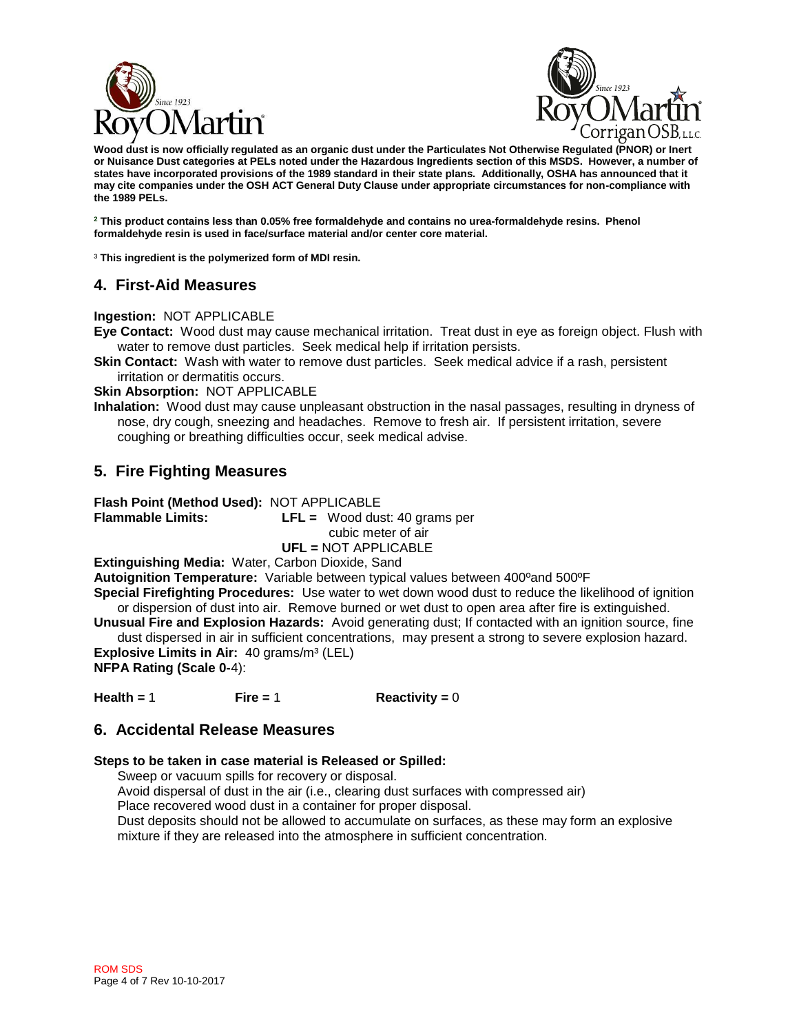



 **Wood dust is now officially regulated as an organic dust under the Particulates Not Otherwise Regulated (PNOR) or Inert or Nuisance Dust categories at PELs noted under the Hazardous Ingredients section of this MSDS. However, a number of states have incorporated provisions of the 1989 standard in their state plans. Additionally, OSHA has announced that it may cite companies under the OSH ACT General Duty Clause under appropriate circumstances for non-compliance with the 1989 PELs.**

**<sup>2</sup> This product contains less than 0.05% free formaldehyde and contains no urea-formaldehyde resins. Phenol formaldehyde resin is used in face/surface material and/or center core material.**

³ **This ingredient is the polymerized form of MDI resin.**

### **4. First-Aid Measures**

**Ingestion:** NOT APPLICABLE

**Eye Contact:** Wood dust may cause mechanical irritation. Treat dust in eye as foreign object. Flush with water to remove dust particles. Seek medical help if irritation persists.

**Skin Contact:** Wash with water to remove dust particles. Seek medical advice if a rash, persistent irritation or dermatitis occurs.

**Skin Absorption:** NOT APPLICABLE

**Inhalation:** Wood dust may cause unpleasant obstruction in the nasal passages, resulting in dryness of nose, dry cough, sneezing and headaches. Remove to fresh air. If persistent irritation, severe coughing or breathing difficulties occur, seek medical advise.

### **5. Fire Fighting Measures**

**Flash Point (Method Used):** NOT APPLICABLE

**Flammable Limits: LFL =** Wood dust: 40 grams per cubic meter of air **UFL =** NOT APPLICABLE

**Extinguishing Media:** Water, Carbon Dioxide, Sand

**Autoignition Temperature:** Variable between typical values between 400° and 500°F

**Special Firefighting Procedures:** Use water to wet down wood dust to reduce the likelihood of ignition or dispersion of dust into air. Remove burned or wet dust to open area after fire is extinguished.

**Unusual Fire and Explosion Hazards:** Avoid generating dust; If contacted with an ignition source, fine dust dispersed in air in sufficient concentrations, may present a strong to severe explosion hazard. **Explosive Limits in Air:** 40 grams/m<sup>3</sup> (LEL)

**NFPA Rating (Scale 0-**4):

**Health =** 1 **Fire =** 1 **Reactivity =** 0

#### **6. Accidental Release Measures**

#### **Steps to be taken in case material is Released or Spilled:**

Sweep or vacuum spills for recovery or disposal. Avoid dispersal of dust in the air (i.e., clearing dust surfaces with compressed air) Place recovered wood dust in a container for proper disposal. Dust deposits should not be allowed to accumulate on surfaces, as these may form an explosive mixture if they are released into the atmosphere in sufficient concentration.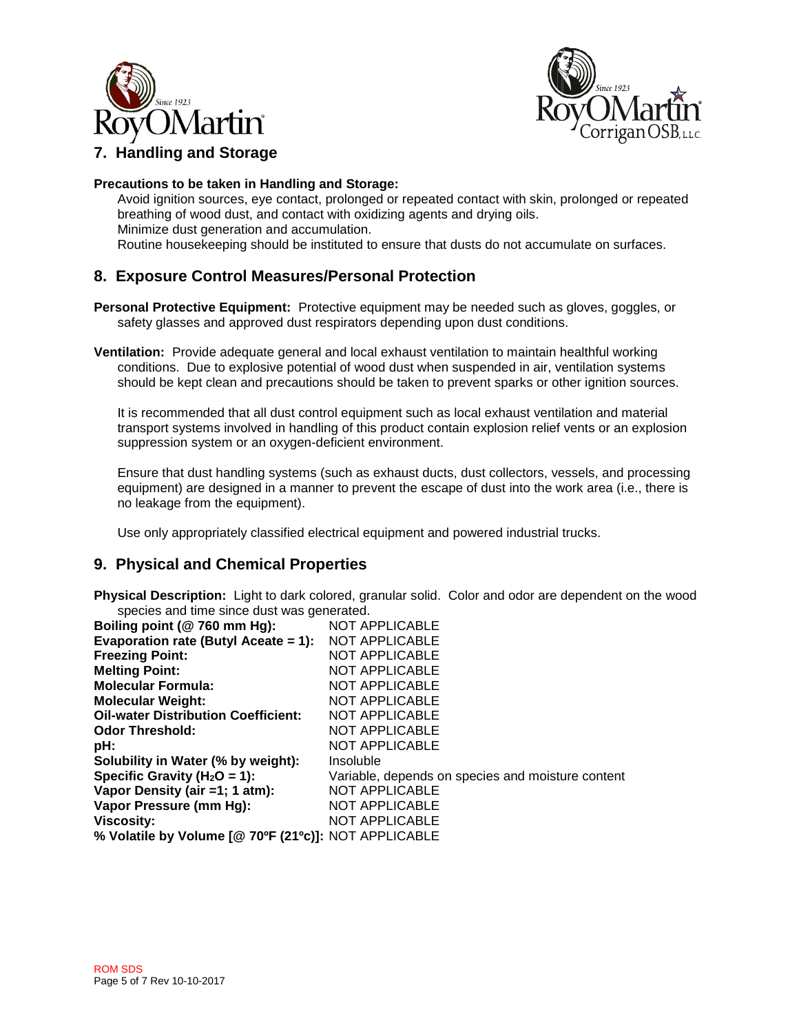



### **7. Handling and Storage**

#### **Precautions to be taken in Handling and Storage:**

Avoid ignition sources, eye contact, prolonged or repeated contact with skin, prolonged or repeated breathing of wood dust, and contact with oxidizing agents and drying oils. Minimize dust generation and accumulation. Routine housekeeping should be instituted to ensure that dusts do not accumulate on surfaces.

### **8. Exposure Control Measures/Personal Protection**

**Personal Protective Equipment:** Protective equipment may be needed such as gloves, goggles, or safety glasses and approved dust respirators depending upon dust conditions.

**Ventilation:** Provide adequate general and local exhaust ventilation to maintain healthful working conditions. Due to explosive potential of wood dust when suspended in air, ventilation systems should be kept clean and precautions should be taken to prevent sparks or other ignition sources.

It is recommended that all dust control equipment such as local exhaust ventilation and material transport systems involved in handling of this product contain explosion relief vents or an explosion suppression system or an oxygen-deficient environment.

Ensure that dust handling systems (such as exhaust ducts, dust collectors, vessels, and processing equipment) are designed in a manner to prevent the escape of dust into the work area (i.e., there is no leakage from the equipment).

Use only appropriately classified electrical equipment and powered industrial trucks.

#### **9. Physical and Chemical Properties**

**Physical Description:** Light to dark colored, granular solid. Color and odor are dependent on the wood species and time since dust was generated.

| Boiling point (@ 760 mm Hg):                         | <b>NOT APPLICABLE</b>                             |
|------------------------------------------------------|---------------------------------------------------|
| Evaporation rate (Butyl Aceate = 1):                 | <b>NOT APPLICABLE</b>                             |
| <b>Freezing Point:</b>                               | <b>NOT APPLICABLE</b>                             |
| <b>Melting Point:</b>                                | <b>NOT APPLICABLE</b>                             |
| <b>Molecular Formula:</b>                            | <b>NOT APPLICABLE</b>                             |
| <b>Molecular Weight:</b>                             | <b>NOT APPLICABLE</b>                             |
| <b>Oil-water Distribution Coefficient:</b>           | <b>NOT APPLICABLE</b>                             |
| <b>Odor Threshold:</b>                               | <b>NOT APPLICABLE</b>                             |
| pH:                                                  | <b>NOT APPLICABLE</b>                             |
| Solubility in Water (% by weight):                   | Insoluble                                         |
| Specific Gravity ( $H_2O = 1$ ):                     | Variable, depends on species and moisture content |
| Vapor Density (air =1; 1 atm):                       | <b>NOT APPLICABLE</b>                             |
| Vapor Pressure (mm Hg):                              | <b>NOT APPLICABLE</b>                             |
| <b>Viscosity:</b>                                    | <b>NOT APPLICABLE</b>                             |
| % Volatile by Volume [@ 70ºF (21ºc)]: NOT APPLICABLE |                                                   |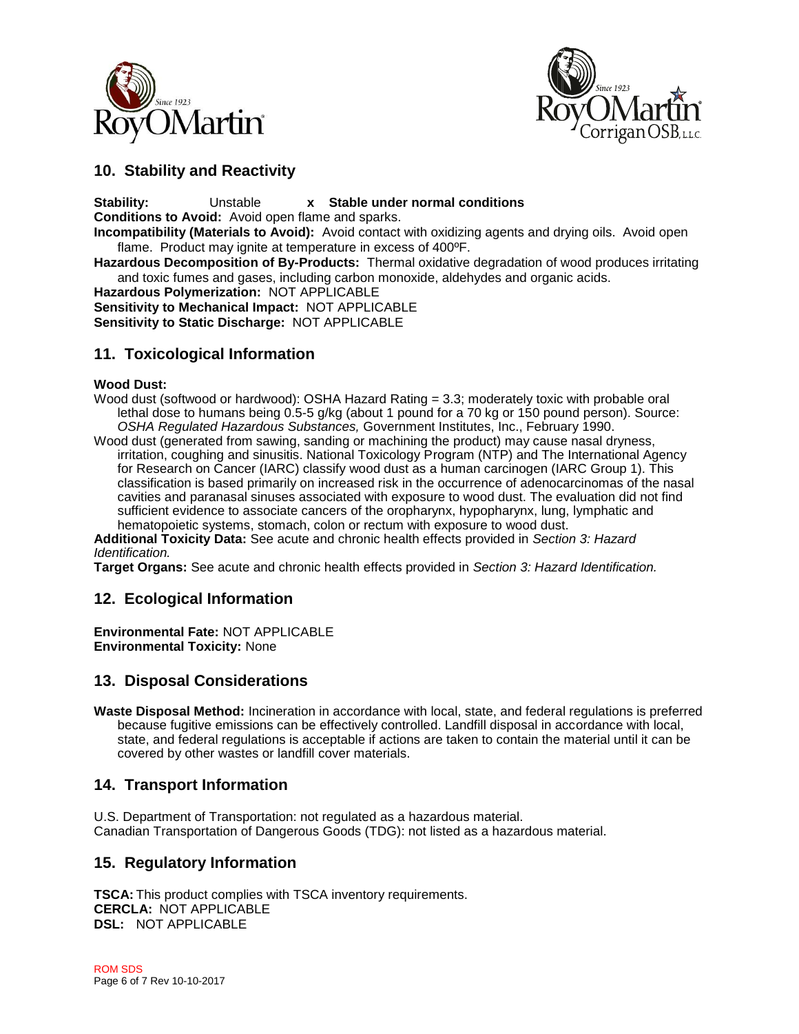



### **10. Stability and Reactivity**

**Stability:** Unstable **x Stable under normal conditions**

**Conditions to Avoid:** Avoid open flame and sparks.

**Incompatibility (Materials to Avoid):** Avoid contact with oxidizing agents and drying oils. Avoid open flame. Product may ignite at temperature in excess of 400ºF.

**Hazardous Decomposition of By-Products:** Thermal oxidative degradation of wood produces irritating and toxic fumes and gases, including carbon monoxide, aldehydes and organic acids.

**Hazardous Polymerization:** NOT APPLICABLE **Sensitivity to Mechanical Impact:** NOT APPLICABLE **Sensitivity to Static Discharge:** NOT APPLICABLE

### **11. Toxicological Information**

#### **Wood Dust:**

- Wood dust (softwood or hardwood): OSHA Hazard Rating = 3.3; moderately toxic with probable oral lethal dose to humans being 0.5-5 g/kg (about 1 pound for a 70 kg or 150 pound person). Source: *OSHA Regulated Hazardous Substances,* Government Institutes, Inc., February 1990.
- Wood dust (generated from sawing, sanding or machining the product) may cause nasal dryness, irritation, coughing and sinusitis. National Toxicology Program (NTP) and The International Agency for Research on Cancer (IARC) classify wood dust as a human carcinogen (IARC Group 1). This classification is based primarily on increased risk in the occurrence of adenocarcinomas of the nasal cavities and paranasal sinuses associated with exposure to wood dust. The evaluation did not find sufficient evidence to associate cancers of the oropharynx, hypopharynx, lung, lymphatic and hematopoietic systems, stomach, colon or rectum with exposure to wood dust.

**Additional Toxicity Data:** See acute and chronic health effects provided in *Section 3: Hazard Identification.* 

**Target Organs:** See acute and chronic health effects provided in *Section 3: Hazard Identification.*

### **12. Ecological Information**

**Environmental Fate:** NOT APPLICABLE **Environmental Toxicity:** None

### **13. Disposal Considerations**

**Waste Disposal Method:** Incineration in accordance with local, state, and federal regulations is preferred because fugitive emissions can be effectively controlled. Landfill disposal in accordance with local, state, and federal regulations is acceptable if actions are taken to contain the material until it can be covered by other wastes or landfill cover materials.

### **14. Transport Information**

U.S. Department of Transportation: not regulated as a hazardous material. Canadian Transportation of Dangerous Goods (TDG): not listed as a hazardous material.

### **15. Regulatory Information**

**TSCA:** This product complies with TSCA inventory requirements. **CERCLA:** NOT APPLICABLE **DSL:** NOT APPLICABLE